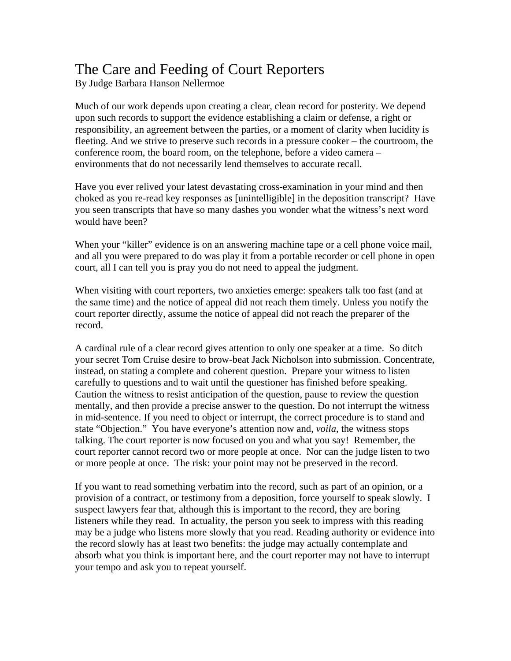## The Care and Feeding of Court Reporters

By Judge Barbara Hanson Nellermoe

Much of our work depends upon creating a clear, clean record for posterity. We depend upon such records to support the evidence establishing a claim or defense, a right or responsibility, an agreement between the parties, or a moment of clarity when lucidity is fleeting. And we strive to preserve such records in a pressure cooker – the courtroom, the conference room, the board room, on the telephone, before a video camera – environments that do not necessarily lend themselves to accurate recall.

Have you ever relived your latest devastating cross-examination in your mind and then choked as you re-read key responses as [unintelligible] in the deposition transcript? Have you seen transcripts that have so many dashes you wonder what the witness's next word would have been?

When your "killer" evidence is on an answering machine tape or a cell phone voice mail, and all you were prepared to do was play it from a portable recorder or cell phone in open court, all I can tell you is pray you do not need to appeal the judgment.

When visiting with court reporters, two anxieties emerge: speakers talk too fast (and at the same time) and the notice of appeal did not reach them timely. Unless you notify the court reporter directly, assume the notice of appeal did not reach the preparer of the record.

A cardinal rule of a clear record gives attention to only one speaker at a time. So ditch your secret Tom Cruise desire to brow-beat Jack Nicholson into submission. Concentrate, instead, on stating a complete and coherent question. Prepare your witness to listen carefully to questions and to wait until the questioner has finished before speaking. Caution the witness to resist anticipation of the question, pause to review the question mentally, and then provide a precise answer to the question. Do not interrupt the witness in mid-sentence. If you need to object or interrupt, the correct procedure is to stand and state "Objection." You have everyone's attention now and, *voila*, the witness stops talking. The court reporter is now focused on you and what you say! Remember, the court reporter cannot record two or more people at once. Nor can the judge listen to two or more people at once. The risk: your point may not be preserved in the record.

If you want to read something verbatim into the record, such as part of an opinion, or a provision of a contract, or testimony from a deposition, force yourself to speak slowly. I suspect lawyers fear that, although this is important to the record, they are boring listeners while they read. In actuality, the person you seek to impress with this reading may be a judge who listens more slowly that you read. Reading authority or evidence into the record slowly has at least two benefits: the judge may actually contemplate and absorb what you think is important here, and the court reporter may not have to interrupt your tempo and ask you to repeat yourself.